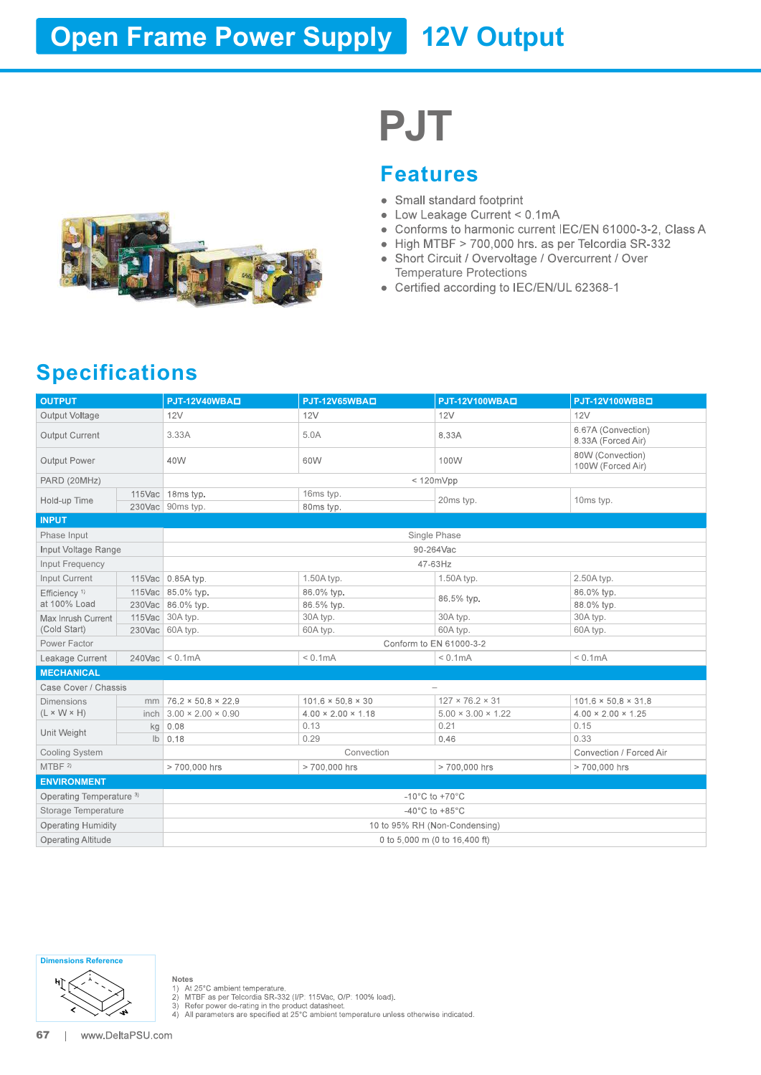## **Open Frame Power Supply 12V Output**



# PJT

#### Features

- 
- 
- 
- 
- Temperature Protections
- 

### Specifications

|                                          |                                      |                                | <b>PJT</b>                                                                                                                                                                                                                                                                 |                                                        |  |
|------------------------------------------|--------------------------------------|--------------------------------|----------------------------------------------------------------------------------------------------------------------------------------------------------------------------------------------------------------------------------------------------------------------------|--------------------------------------------------------|--|
|                                          |                                      | $\bullet$                      | <b>Features</b><br>• Small standard footprint<br>• Low Leakage Current < 0.1mA<br>• High MTBF > 700,000 hrs. as per Telcordia SR-332<br>• Short Circuit / Overvoltage / Overcurrent / Over<br><b>Temperature Protections</b><br>• Certified according to IEC/EN/UL 62368-1 | Conforms to harmonic current IEC/EN 61000-3-2, Class A |  |
| <b>Specifications</b>                    |                                      |                                |                                                                                                                                                                                                                                                                            |                                                        |  |
| <b>OUTPUT</b>                            | <b>PJT-12V40WBAD</b>                 | PJT-12V65WBAD                  | PJT-12V100WBAD                                                                                                                                                                                                                                                             | PJT-12V100WBBD                                         |  |
| Output Voltage<br>Output Current         | 12V<br>3.33A                         | 12V<br>5.0A                    | 12V<br>8.33A                                                                                                                                                                                                                                                               | 12V<br>6.67A (Convection)                              |  |
| Output Power                             | 40W                                  | 60W                            | 100W                                                                                                                                                                                                                                                                       | 8.33A (Forced Air)<br>80W (Convection)                 |  |
|                                          |                                      |                                |                                                                                                                                                                                                                                                                            | 100W (Forced Air)                                      |  |
| PARD (20MHz)                             | 115Vac   18ms typ.                   | 16ms typ.                      | < 120mVpp                                                                                                                                                                                                                                                                  |                                                        |  |
| Hold-up Time                             | 230Vac 90ms typ.                     | 80ms typ.                      | 20ms typ.                                                                                                                                                                                                                                                                  | 10ms typ.                                              |  |
| <b>INPUT</b>                             |                                      |                                |                                                                                                                                                                                                                                                                            |                                                        |  |
| Phase Input                              |                                      |                                | Single Phase                                                                                                                                                                                                                                                               |                                                        |  |
| Input Voltage Range                      |                                      |                                | 90-264Vac                                                                                                                                                                                                                                                                  |                                                        |  |
| Input Frequency                          |                                      |                                | 47-63Hz                                                                                                                                                                                                                                                                    |                                                        |  |
| Input Current                            | 115Vac 0.85A typ.                    | 1.50A typ.                     | 1.50A typ.                                                                                                                                                                                                                                                                 | 2.50A typ.                                             |  |
| Efficiency <sup>1)</sup><br>at 100% Load | 115Vac 85.0% typ.                    | 86.0% typ.                     | 86.5% typ.                                                                                                                                                                                                                                                                 | 86.0% typ.<br>88.0% typ.                               |  |
| Max Inrush Current                       | 230Vac 86.0% typ.<br>115Vac 30A typ. | 86.5% typ.<br>30A typ.         | 30A typ.                                                                                                                                                                                                                                                                   | 30A typ.                                               |  |
| (Cold Start)                             | 230Vac 60A typ.                      | 60A typ.                       | 60A typ.                                                                                                                                                                                                                                                                   | 60A typ.                                               |  |
| Power Factor                             |                                      |                                | Conform to EN 61000-3-2                                                                                                                                                                                                                                                    |                                                        |  |
| Leakage Current                          | $240\text{Vac} < 0.1\text{mA}$       | < 0.1mA                        | < 0.1mA                                                                                                                                                                                                                                                                    | < 0.1mA                                                |  |
| <b>MECHANICAL</b>                        |                                      |                                |                                                                                                                                                                                                                                                                            |                                                        |  |
| Case Cover / Chassis                     |                                      |                                | $\overline{\phantom{a}}$                                                                                                                                                                                                                                                   |                                                        |  |
| <b>Dimensions</b>                        | mm   $76.2 \times 50.8 \times 22.9$  | $101.6 \times 50.8 \times 30$  | $127 \times 76.2 \times 31$                                                                                                                                                                                                                                                | $101.6 \times 50.8 \times 31.8$                        |  |
| $(L \times W \times H)$                  | inch $3.00 \times 2.00 \times 0.90$  | $4.00 \times 2.00 \times 1.18$ | $5.00 \times 3.00 \times 1.22$                                                                                                                                                                                                                                             | $4.00 \times 2.00 \times 1.25$                         |  |
| Unit Weight                              | $kg$ 0.08<br>$\mathsf{lb} \mid 0.18$ | 0.13<br>0.29                   | 0.21<br>0.46                                                                                                                                                                                                                                                               | 0.15<br>0.33                                           |  |
| <b>Cooling System</b>                    |                                      | Convection                     |                                                                                                                                                                                                                                                                            | Convection / Forced Air                                |  |
| MTBF <sup>2)</sup>                       | > 700,000 hrs                        | > 700,000 hrs                  | > 700,000 hrs                                                                                                                                                                                                                                                              | > 700,000 hrs                                          |  |
| <b>ENVIRONMENT</b>                       |                                      |                                |                                                                                                                                                                                                                                                                            |                                                        |  |
| Operating Temperature <sup>3)</sup>      |                                      |                                | $-10^{\circ}$ C to $+70^{\circ}$ C                                                                                                                                                                                                                                         |                                                        |  |
| Storage Temperature                      |                                      |                                | -40 $^{\circ}$ C to +85 $^{\circ}$ C                                                                                                                                                                                                                                       |                                                        |  |
| <b>Operating Humidity</b>                |                                      |                                | 10 to 95% RH (Non-Condensing)                                                                                                                                                                                                                                              |                                                        |  |
| <b>Operating Altitude</b>                |                                      |                                | 0 to 5,000 m (0 to 16,400 ft)                                                                                                                                                                                                                                              |                                                        |  |
|                                          |                                      |                                |                                                                                                                                                                                                                                                                            |                                                        |  |

Dimensions Reference



Notes<br>
1) At 25°C ambient temperature.<br>
2) MTBF as per Telcordia SR-332 (I/P: 115Vac, O/P: 100% load).<br>
3) Refer power de-rating in the product datasheet.<br>
4) All parameters are specified at 25°C ambient temperature unless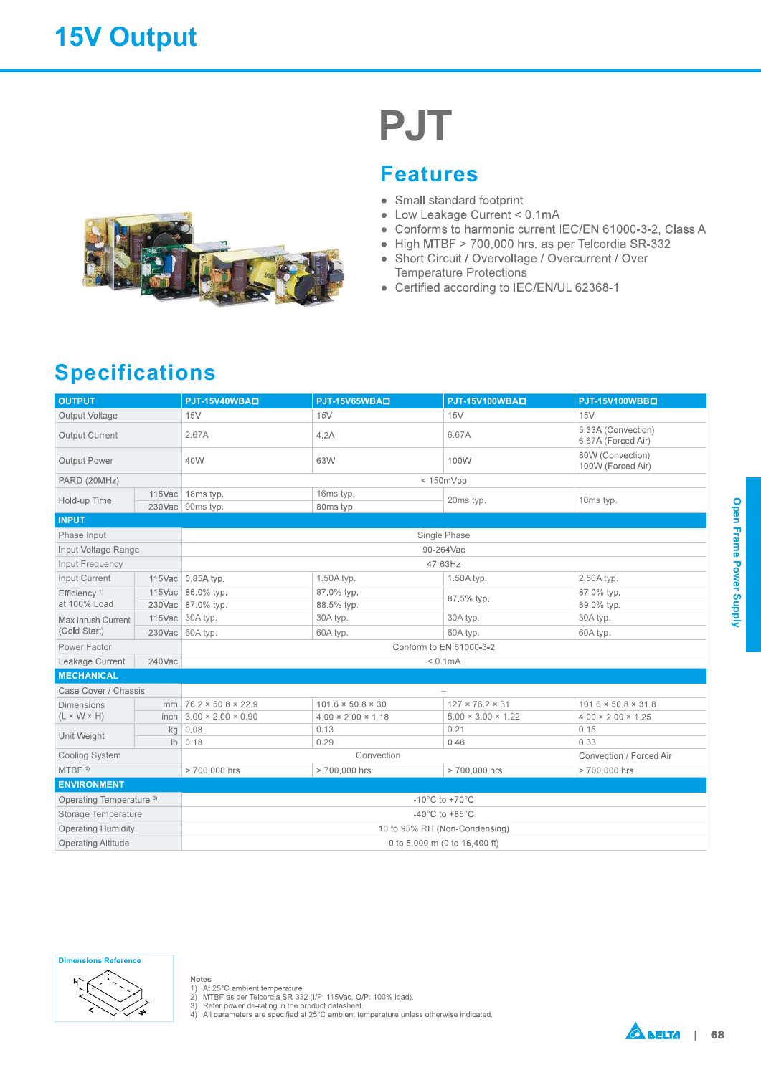

# PJT

#### Features

- 
- 
- 
- 
- Temperature Protections
- 

### **Specifications**

|                                      |        |                                       |                                | <b>Features</b>                                                                                                                                                                                                                                         |                                                          |
|--------------------------------------|--------|---------------------------------------|--------------------------------|---------------------------------------------------------------------------------------------------------------------------------------------------------------------------------------------------------------------------------------------------------|----------------------------------------------------------|
| <b>Specifications</b>                |        |                                       |                                | • Small standard footprint<br>• Low Leakage Current < 0.1mA<br>• High MTBF > 700,000 hrs. as per Telcordia SR-332<br>• Short Circuit / Overvoltage / Overcurrent / Over<br><b>Temperature Protections</b><br>• Certified according to IEC/EN/UL 62368-1 | • Conforms to harmonic current IEC/EN 61000-3-2, Class A |
| <b>OUTPUT</b>                        |        | PJT-15V40WBAD                         | PJT-15V65WBAD                  | PJT-15V100WBAD                                                                                                                                                                                                                                          | PJT-15V100WBBD                                           |
| Output Voltage                       |        | 15V                                   | 15V                            | 15V                                                                                                                                                                                                                                                     | 15V                                                      |
| Output Current                       |        | 2.67A                                 | 4.2A                           | 6.67A                                                                                                                                                                                                                                                   | 5.33A (Convection)<br>6.67A (Forced Air)                 |
| Output Power                         |        | 40W                                   | 63W                            | 100W                                                                                                                                                                                                                                                    | 80W (Convection)<br>100W (Forced Air)                    |
| PARD (20MHz)                         |        |                                       |                                | < 150mVpp                                                                                                                                                                                                                                               |                                                          |
| Hold-up Time                         |        | 115Vac 18ms typ.<br>230Vac 90ms typ.  | 16ms typ.<br>80ms typ.         | 20ms typ.                                                                                                                                                                                                                                               | 10ms typ.                                                |
| <b>INPUT</b>                         |        |                                       |                                |                                                                                                                                                                                                                                                         |                                                          |
| Phase Input                          |        |                                       |                                | Single Phase                                                                                                                                                                                                                                            |                                                          |
| Input Voltage Range                  |        |                                       |                                | 90-264Vac                                                                                                                                                                                                                                               |                                                          |
| Input Frequency                      |        |                                       |                                | 47-63Hz                                                                                                                                                                                                                                                 |                                                          |
| Input Current                        |        | 115Vac 0.85A typ.                     | 1.50A typ.                     | 1.50A typ.                                                                                                                                                                                                                                              | 2.50A typ.                                               |
| Efficiency <sup>1)</sup>             |        | 115Vac 86.0% typ.                     | 87.0% typ.                     | 87.5% typ.                                                                                                                                                                                                                                              | 87.0% typ.                                               |
| at 100% Load                         |        | 230Vac 87.0% typ.                     | 88.5% typ.                     |                                                                                                                                                                                                                                                         | 89.0% typ.                                               |
| Max Inrush Current<br>(Cold Start)   |        | 115Vac 30A typ.                       | 30A typ.                       | 30A typ.                                                                                                                                                                                                                                                | 30A typ.                                                 |
| Power Factor                         |        | 230Vac 60A typ.                       | 60A typ.                       | 60A typ.<br>Conform to EN 61000-3-2                                                                                                                                                                                                                     | 60A typ.                                                 |
|                                      | 240Vac |                                       |                                | < 0.1mA                                                                                                                                                                                                                                                 |                                                          |
| Leakage Current<br><b>MECHANICAL</b> |        |                                       |                                |                                                                                                                                                                                                                                                         |                                                          |
| Case Cover / Chassis                 |        |                                       |                                | $\overline{\phantom{0}}$                                                                                                                                                                                                                                |                                                          |
| <b>Dimensions</b>                    |        | $mm$ 76.2 $\times$ 50.8 $\times$ 22.9 | $101.6 \times 50.8 \times 30$  | $127 \times 76.2 \times 31$                                                                                                                                                                                                                             | $101.6 \times 50.8 \times 31.8$                          |
| $(L \times W \times H)$              |        | inch $3.00 \times 2.00 \times 0.90$   | $4.00 \times 2.00 \times 1.18$ | $5.00 \times 3.00 \times 1.22$                                                                                                                                                                                                                          | $4.00 \times 2.00 \times 1.25$                           |
|                                      |        | kg 0.08                               | 0.13                           | 0.21                                                                                                                                                                                                                                                    | 0.15                                                     |
| Unit Weight                          |        | $\mathsf{lb}$ 0.18                    | 0.29                           | 0.46                                                                                                                                                                                                                                                    | 0.33                                                     |
| Cooling System                       |        |                                       | Convection                     |                                                                                                                                                                                                                                                         | Convection / Forced Air                                  |
| MTBF <sup>2</sup>                    |        | > 700,000 hrs                         | >700,000 hrs                   | > 700,000 hrs                                                                                                                                                                                                                                           | > 700,000 hrs                                            |
| <b>ENVIRONMENT</b>                   |        |                                       |                                |                                                                                                                                                                                                                                                         |                                                          |
| Operating Temperature <sup>3)</sup>  |        |                                       |                                | $-10^{\circ}$ C to $+70^{\circ}$ C                                                                                                                                                                                                                      |                                                          |
| Storage Temperature                  |        |                                       |                                | $-40^{\circ}$ C to +85 $^{\circ}$ C                                                                                                                                                                                                                     |                                                          |
| <b>Operating Humidity</b>            |        |                                       |                                | 10 to 95% RH (Non-Condensing)                                                                                                                                                                                                                           |                                                          |
| Operating Altitude                   |        |                                       |                                | 0 to 5,000 m (0 to 16,400 ft)                                                                                                                                                                                                                           |                                                          |







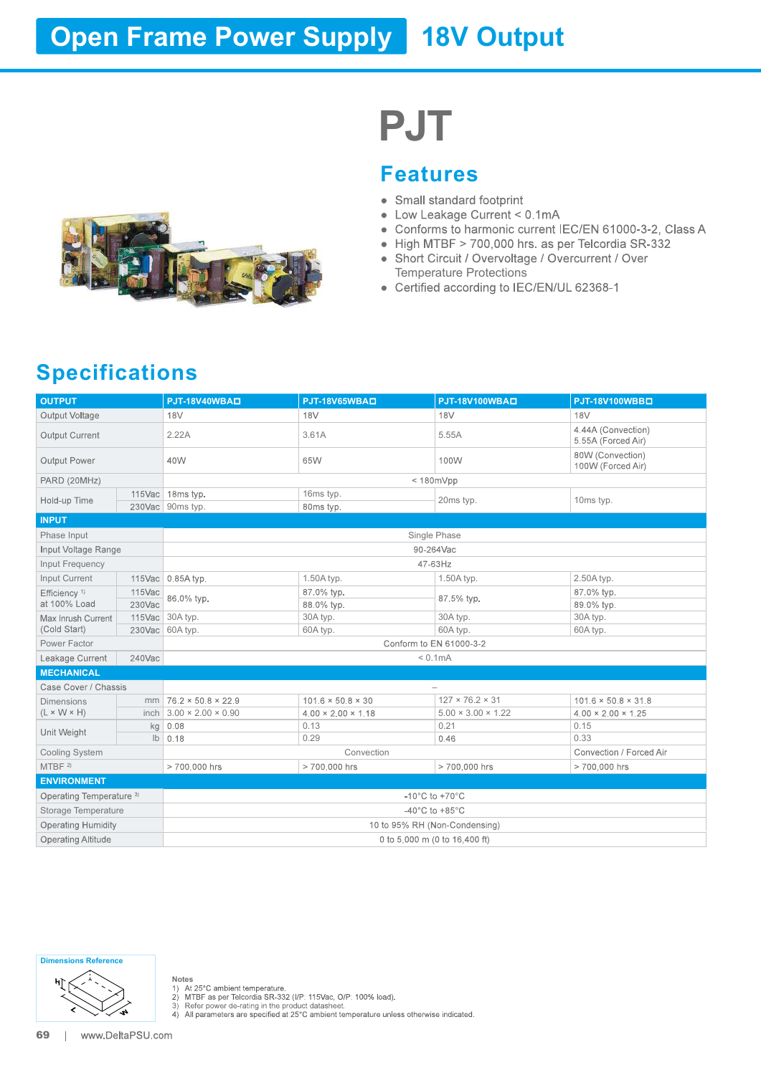## **Open Frame Power Supply 18V Output**



# PJT

#### Features

- 
- 
- 
- 
- Temperature Protections
- 

### Specifications

|                                                        |        |                                                                                |                                | <b>PJT</b>                                                                                                                                                     |                                                                                                                                                                    |  |  |
|--------------------------------------------------------|--------|--------------------------------------------------------------------------------|--------------------------------|----------------------------------------------------------------------------------------------------------------------------------------------------------------|--------------------------------------------------------------------------------------------------------------------------------------------------------------------|--|--|
|                                                        |        |                                                                                | $\bullet$                      | <b>Features</b><br>• Small standard footprint<br>• Low Leakage Current < 0.1mA<br><b>Temperature Protections</b><br>• Certified according to IEC/EN/UL 62368-1 | Conforms to harmonic current IEC/EN 61000-3-2, Class A<br>• High MTBF > 700,000 hrs. as per Telcordia SR-332<br>• Short Circuit / Overvoltage / Overcurrent / Over |  |  |
| <b>Specifications</b>                                  |        |                                                                                |                                |                                                                                                                                                                |                                                                                                                                                                    |  |  |
| <b>OUTPUT</b>                                          |        | PJT-18V40WBAD                                                                  | PJT-18V65WBAD                  | PJT-18V100WBAD                                                                                                                                                 | PJT-18V100WBBD                                                                                                                                                     |  |  |
| Output Voltage<br>Output Current                       |        | 18 <sub>V</sub><br>2.22A                                                       | 18 <sub>V</sub><br>3.61A       | 18 <sub>V</sub><br>5.55A                                                                                                                                       | 18 <sub>V</sub><br>4.44A (Convection)                                                                                                                              |  |  |
| Output Power                                           |        | 40W                                                                            | 65W                            | 100W                                                                                                                                                           | 5.55A (Forced Air)<br>80W (Convection)<br>100W (Forced Air)                                                                                                        |  |  |
|                                                        |        |                                                                                |                                |                                                                                                                                                                |                                                                                                                                                                    |  |  |
| PARD (20MHz)<br>Hold-up Time                           |        | 115Vac 18ms typ.<br>230Vac 90ms typ.                                           | 16ms typ.<br>80ms typ.         | < 180mVpp<br>20ms typ.                                                                                                                                         | 10ms typ.                                                                                                                                                          |  |  |
| <b>INPUT</b>                                           |        |                                                                                |                                |                                                                                                                                                                |                                                                                                                                                                    |  |  |
| Phase Input                                            |        |                                                                                |                                | Single Phase                                                                                                                                                   |                                                                                                                                                                    |  |  |
| Input Voltage Range                                    |        |                                                                                |                                | 90-264Vac                                                                                                                                                      |                                                                                                                                                                    |  |  |
| Input Frequency                                        |        |                                                                                |                                | 47-63Hz                                                                                                                                                        |                                                                                                                                                                    |  |  |
| Input Current                                          |        | 115Vac 0.85A typ.                                                              | 1.50A typ.                     | 1.50A typ.                                                                                                                                                     | 2.50A typ.                                                                                                                                                         |  |  |
| Efficiency <sup>1)</sup>                               | 115Vac | 86.0% typ.                                                                     | 87.0% typ.                     | 87.5% typ.                                                                                                                                                     | 87.0% typ.                                                                                                                                                         |  |  |
| at 100% Load                                           | 230Vac |                                                                                | 88.0% typ.                     |                                                                                                                                                                | 89.0% typ.                                                                                                                                                         |  |  |
| Max Inrush Current<br>(Cold Start)                     |        | 115Vac 30A typ.                                                                | 30A typ.                       | 30A typ.                                                                                                                                                       | 30A typ.                                                                                                                                                           |  |  |
| Power Factor                                           |        | 230Vac 60A typ.<br>60A typ.<br>60A typ.<br>60A typ.<br>Conform to EN 61000-3-2 |                                |                                                                                                                                                                |                                                                                                                                                                    |  |  |
| Leakage Current                                        | 240Vac | < 0.1mA                                                                        |                                |                                                                                                                                                                |                                                                                                                                                                    |  |  |
| <b>MECHANICAL</b>                                      |        |                                                                                |                                |                                                                                                                                                                |                                                                                                                                                                    |  |  |
| Case Cover / Chassis                                   |        |                                                                                |                                | $\overline{\phantom{a}}$                                                                                                                                       |                                                                                                                                                                    |  |  |
| <b>Dimensions</b>                                      |        | $mm$ 76.2 × 50.8 × 22.9                                                        | $101.6 \times 50.8 \times 30$  | $127 \times 76.2 \times 31$                                                                                                                                    | $101.6 \times 50.8 \times 31.8$                                                                                                                                    |  |  |
| $(L \times W \times H)$                                |        | inch $3.00 \times 2.00 \times 0.90$                                            | $4.00 \times 2.00 \times 1.18$ | $5.00 \times 3.00 \times 1.22$                                                                                                                                 | $4.00 \times 2.00 \times 1.25$                                                                                                                                     |  |  |
| Unit Weight                                            |        | $kg$ 0.08                                                                      | 0.13                           | 0.21                                                                                                                                                           | 0.15                                                                                                                                                               |  |  |
|                                                        |        | $\mathsf{lb} \mid 0.18$                                                        | 0.29                           | 0.46                                                                                                                                                           | 0.33                                                                                                                                                               |  |  |
| <b>Cooling System</b><br>MTBF <sup>2)</sup>            |        |                                                                                | Convection                     |                                                                                                                                                                | Convection / Forced Air                                                                                                                                            |  |  |
|                                                        |        | > 700,000 hrs                                                                  | > 700,000 hrs                  | > 700,000 hrs                                                                                                                                                  | > 700,000 hrs                                                                                                                                                      |  |  |
| <b>ENVIRONMENT</b>                                     |        |                                                                                |                                |                                                                                                                                                                |                                                                                                                                                                    |  |  |
| Operating Temperature <sup>3)</sup>                    |        |                                                                                |                                | $-10^{\circ}$ C to $+70^{\circ}$ C<br>-40 $^{\circ}$ C to +85 $^{\circ}$ C                                                                                     |                                                                                                                                                                    |  |  |
| Storage Temperature                                    |        |                                                                                |                                |                                                                                                                                                                |                                                                                                                                                                    |  |  |
| <b>Operating Humidity</b><br><b>Operating Altitude</b> |        |                                                                                |                                | 10 to 95% RH (Non-Condensing)<br>0 to 5,000 m (0 to 16,400 ft)                                                                                                 |                                                                                                                                                                    |  |  |
|                                                        |        |                                                                                |                                |                                                                                                                                                                |                                                                                                                                                                    |  |  |

Dimensions Reference



Notes<br>
1) At 25°C ambient temperature.<br>
2) MTBF as per Telcordia SR-332 (I/P: 115Vac, O/P: 100% load).<br>
3) Refer power de-rating in the product datasheet.<br>
4) All parameters are specified at 25°C ambient temperature unless